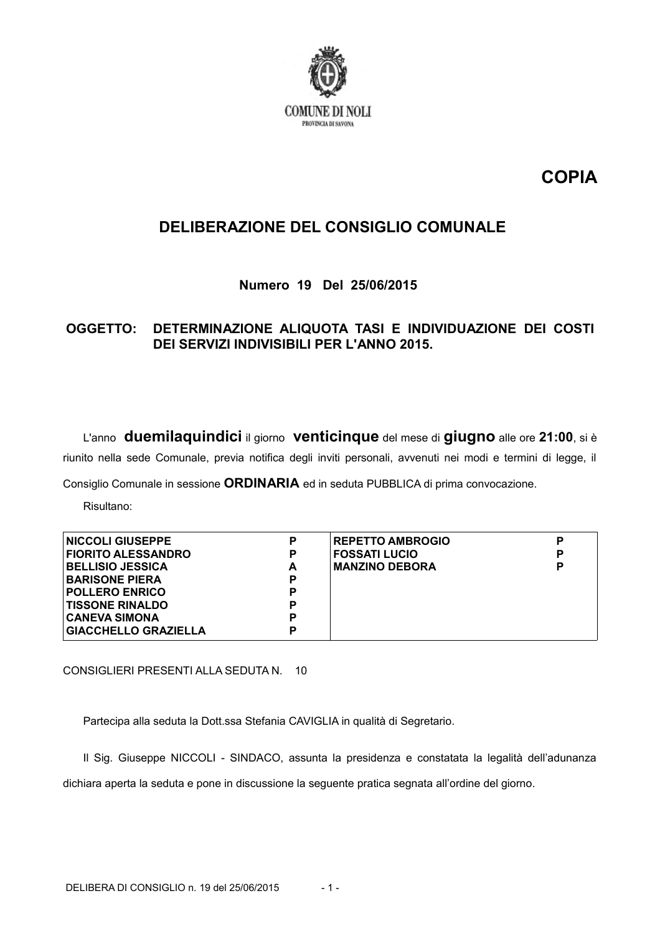

# **COPIA**

## **DELIBERAZIONE DEL CONSIGLIO COMUNALE**

Numero 19 Del 25/06/2015

### OGGETTO: DETERMINAZIONE ALIQUOTA TASI E INDIVIDUAZIONE DEI COSTI DEI SERVIZI INDIVISIBILI PER L'ANNO 2015.

L'anno duemilaquindici il giorno venticinque del mese di giugno alle ore 21:00, si è riunito nella sede Comunale, previa notifica degli inviti personali, avvenuti nei modi e termini di legge, il

Consiglio Comunale in sessione ORDINARIA ed in seduta PUBBLICA di prima convocazione.

Risultano:

| <b>NICCOLI GIUSEPPE</b>     | P | <b>REPETTO AMBROGIO</b> | D |
|-----------------------------|---|-------------------------|---|
| <b>FIORITO ALESSANDRO</b>   | P | <b>FOSSATI LUCIO</b>    | D |
| <b>BELLISIO JESSICA</b>     | A | <b>MANZINO DEBORA</b>   | D |
| <b>BARISONE PIERA</b>       | P |                         |   |
| <b>POLLERO ENRICO</b>       | P |                         |   |
| <b>TISSONE RINALDO</b>      | Р |                         |   |
| <b>CANEVA SIMONA</b>        | P |                         |   |
| <b>GIACCHELLO GRAZIELLA</b> | Р |                         |   |

CONSIGLIERI PRESENTI ALLA SEDUTA N. 10

Partecipa alla seduta la Dott.ssa Stefania CAVIGLIA in qualità di Segretario.

Il Sig. Giuseppe NICCOLI - SINDACO, assunta la presidenza e constatata la legalità dell'adunanza dichiara aperta la seduta e pone in discussione la sequente pratica segnata all'ordine del giorno.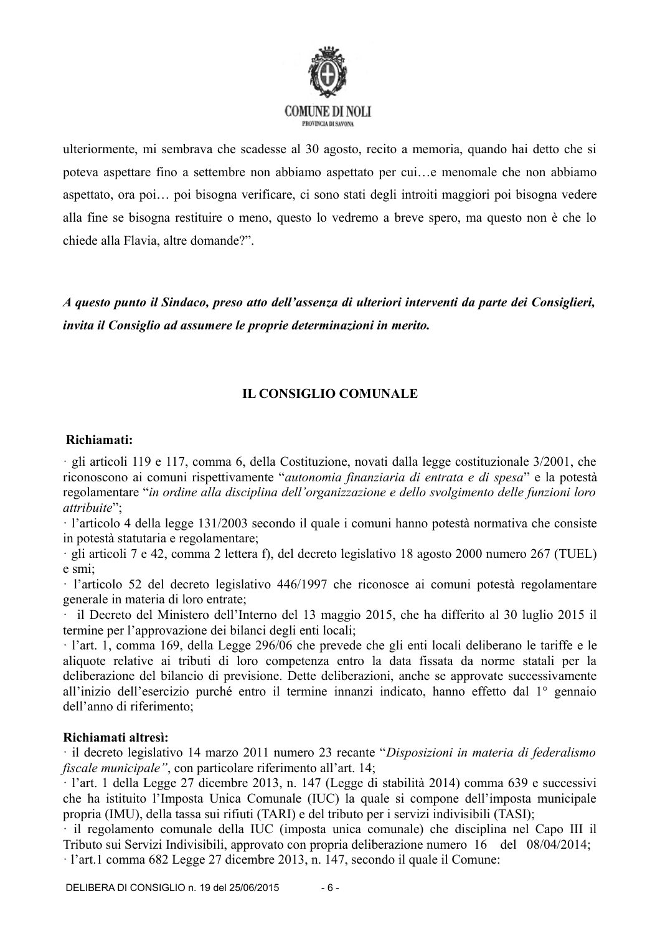

ulteriormente, mi sembrava che scadesse al 30 agosto, recito a memoria, quando hai detto che si poteva aspettare fino a settembre non abbiamo aspettato per cui...e menomale che non abbiamo aspettato, ora poi ... poi bisogna verificare, ci sono stati degli introiti maggiori poi bisogna vedere alla fine se bisogna restituire o meno, questo lo vedremo a breve spero, ma questo non è che lo chiede alla Flavia, altre domande?".

A questo punto il Sindaco, preso atto dell'assenza di ulteriori interventi da parte dei Consiglieri, invita il Consiglio ad assumere le proprie determinazioni in merito.

## **IL CONSIGLIO COMUNALE**

#### Richiamati:

· gli articoli 119 e 117, comma 6, della Costituzione, novati dalla legge costituzionale 3/2001, che riconoscono ai comuni rispettivamente "autonomia finanziaria di entrata e di spesa" e la potestà regolamentare "in ordine alla disciplina dell'organizzazione e dello svolgimento delle funzioni loro attribuite":

· l'articolo 4 della legge 131/2003 secondo il quale i comuni hanno potestà normativa che consiste in potestà statutaria e regolamentare;

· gli articoli 7 e 42, comma 2 lettera f), del decreto legislativo 18 agosto 2000 numero 267 (TUEL) e smi

· l'articolo 52 del decreto legislativo 446/1997 che riconosce ai comuni potestà regolamentare generale in materia di loro entrate;

il Decreto del Ministero dell'Interno del 13 maggio 2015, che ha differito al 30 luglio 2015 il termine per l'approvazione dei bilanci degli enti locali;

l'art. 1, comma 169, della Legge 296/06 che prevede che gli enti locali deliberano le tariffe e le aliquote relative ai tributi di loro competenza entro la data fissata da norme statali per la deliberazione del bilancio di previsione. Dette deliberazioni, anche se approvate successivamente all'inizio dell'esercizio purché entro il termine innanzi indicato, hanno effetto dal 1<sup>°</sup> gennaio dell'anno di riferimento:

#### Richiamati altresi:

· il decreto legislativo 14 marzo 2011 numero 23 recante "Disposizioni in materia di federalismo fiscale municipale", con particolare riferimento all'art. 14;

· l'art. 1 della Legge 27 dicembre 2013, n. 147 (Legge di stabilità 2014) comma 639 e successivi che ha istituito l'Imposta Unica Comunale (IUC) la quale si compone dell'imposta municipale propria (IMU), della tassa sui rifiuti (TARI) e del tributo per i servizi indivisibili (TASI);

il regolamento comunale della IUC (imposta unica comunale) che disciplina nel Capo III il Tributo sui Servizi Indivisibili, approvato con propria deliberazione numero 16 del 08/04/2014;

· l'art.1 comma 682 Legge 27 dicembre 2013, n. 147, secondo il quale il Comune: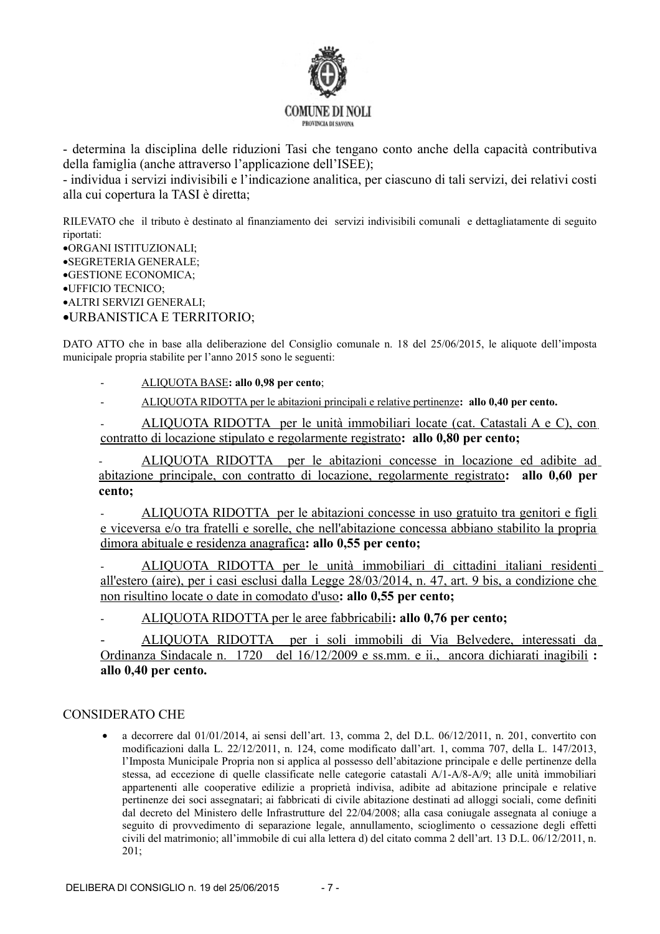

- determina la disciplina delle riduzioni Tasi che tengano conto anche della capacità contributiva della famiglia (anche attraverso l'applicazione dell'ISEE);

- individua i servizi indivisibili e l'indicazione analitica, per ciascuno di tali servizi, dei relativi costi alla cui copertura la TASI è diretta;

RILEVATO che il tributo è destinato al finanziamento dei servizi indivisibili comunali e dettagliatamente di seguito riportati:

•ORGANI ISTITUZIONALI; ·SEGRETERIA GENERALE: ·GESTIONE ECONOMICA: ·UFFICIO TECNICO: · ALTRI SERVIZI GENERALI: •URBANISTICA E TERRITORIO;

DATO ATTO che in base alla deliberazione del Consiglio comunale n. 18 del 25/06/2015, le aliquote dell'imposta municipale propria stabilite per l'anno 2015 sono le seguenti:

- ALIQUOTA BASE: allo 0,98 per cento;
- ALIQUOTA RIDOTTA per le abitazioni principali e relative pertinenze: allo 0,40 per cento.

ALIOUOTA RIDOTTA per le unità immobiliari locate (cat. Catastali A e C), con contratto di locazione stipulato e regolarmente registrato: allo 0,80 per cento;

ALIQUOTA RIDOTTA per le abitazioni concesse in locazione ed adibite ad abitazione principale, con contratto di locazione, regolarmente registrato: allo 0,60 per cento:

ALIQUOTA RIDOTTA per le abitazioni concesse in uso gratuito tra genitori e figli e viceversa e/o tra fratelli e sorelle, che nell'abitazione concessa abbiano stabilito la propria dimora abituale e residenza anagrafica: allo 0,55 per cento;

ALIQUOTA RIDOTTA per le unità immobiliari di cittadini italiani residenti all'estero (aire), per i casi esclusi dalla Legge 28/03/2014, n. 47, art. 9 bis, a condizione che non risultino locate o date in comodato d'uso: allo 0,55 per cento;

ALIQUOTA RIDOTTA per le aree fabbricabili: allo 0,76 per cento;

ALIQUOTA RIDOTTA per i soli immobili di Via Belvedere, interessati da Ordinanza Sindacale n. 1720 del 16/12/2009 e ss.mm. e ii., ancora dichiarati inagibili: allo 0,40 per cento.

#### **CONSIDERATO CHE**

a decorrere dal  $01/01/2014$ , ai sensi dell'art. 13, comma 2, del D.L.  $06/12/2011$ , n. 201, convertito con modificazioni dalla L. 22/12/2011, n. 124, come modificato dall'art. 1, comma 707, della L. 147/2013, l'Imposta Municipale Propria non si applica al possesso dell'abitazione principale e delle pertinenze della stessa, ad eccezione di quelle classificate nelle categorie catastali A/1-A/8-A/9; alle unità immobiliari appartenenti alle cooperative edilizie a proprietà indivisa, adibite ad abitazione principale e relative pertinenze dei soci assegnatari; ai fabbricati di civile abitazione destinati ad alloggi sociali, come definiti dal decreto del Ministero delle Infrastrutture del 22/04/2008; alla casa coniugale assegnata al coniuge a seguito di provvedimento di separazione legale, annullamento, scioglimento o cessazione degli effetti civili del matrimonio: all'immobile di cui alla lettera d) del citato comma 2 dell'art. 13 D.L. 06/12/2011, n.  $201:$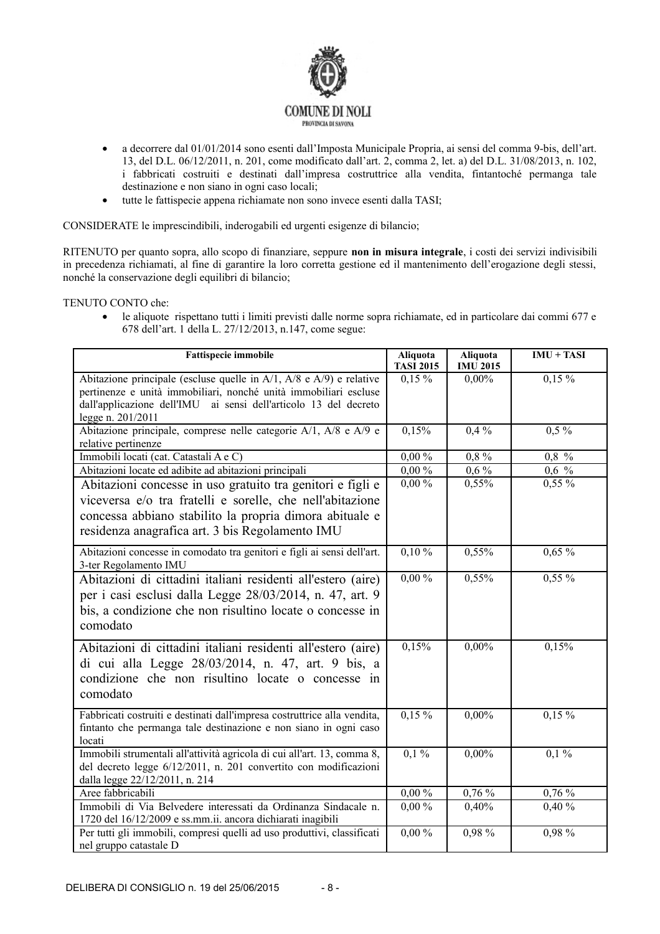

- a decorrere dal 01/01/2014 sono esenti dall'Imposta Municipale Propria, ai sensi del comma 9-bis, dell'art.  $\bullet$ 13, del D.L. 06/12/2011, n. 201, come modificato dall'art. 2, comma 2, let. a) del D.L. 31/08/2013, n. 102, i fabbricati costruiti e destinati dall'impresa costruttrice alla vendita, fintantoché permanga tale destinazione e non siano in ogni caso locali;
- tutte le fattispecie appena richiamate non sono invece esenti dalla TASI:  $\bullet$

CONSIDERATE le imprescindibili, inderogabili ed urgenti esigenze di bilancio;

RITENUTO per quanto sopra, allo scopo di finanziare, seppure non in misura integrale, i costi dei servizi indivisibili in precedenza richiamati, al fine di garantire la loro corretta gestione ed il mantenimento dell'erogazione degli stessi, nonché la conservazione degli equilibri di bilancio;

TENUTO CONTO che:

le aliquote rispettano tutti i limiti previsti dalle norme sopra richiamate, ed in particolare dai commi 677 e  $\bullet$ 678 dell'art. 1 della L. 27/12/2013, n.147, come segue:

| <b>Fattispecie immobile</b>                                                                                                                                                                                                              | Aliquota<br><b>TASI 2015</b> | Aliquota<br><b>IMU 2015</b> | $IMU + TASI$ |
|------------------------------------------------------------------------------------------------------------------------------------------------------------------------------------------------------------------------------------------|------------------------------|-----------------------------|--------------|
| Abitazione principale (escluse quelle in $A/1$ , $A/8$ e $A/9$ ) e relative<br>pertinenze e unità immobiliari, nonché unità immobiliari escluse<br>dall'applicazione dell'IMU ai sensi dell'articolo 13 del decreto<br>legge n. 201/2011 | $0,15\%$                     | 0,00%                       | $0,15\%$     |
| Abitazione principale, comprese nelle categorie A/1, A/8 e A/9 e<br>relative pertinenze                                                                                                                                                  | 0,15%                        | $0.4\%$                     | $0,5\%$      |
| Immobili locati (cat. Catastali A e C)                                                                                                                                                                                                   | $0,00\%$                     | 0,8%                        | $0.8\%$      |
| Abitazioni locate ed adibite ad abitazioni principali                                                                                                                                                                                    | $0,00\,\sqrt[6]{\,}$         | $0,6\%$                     | $0,6$ %      |
| Abitazioni concesse in uso gratuito tra genitori e figli e<br>viceversa e/o tra fratelli e sorelle, che nell'abitazione<br>concessa abbiano stabilito la propria dimora abituale e<br>residenza anagrafica art. 3 bis Regolamento IMU    | $0,00\%$                     | 0,55%                       | $0,55\%$     |
| Abitazioni concesse in comodato tra genitori e figli ai sensi dell'art.<br>3-ter Regolamento IMU                                                                                                                                         | $0,10\%$                     | 0,55%                       | $0,65\%$     |
| Abitazioni di cittadini italiani residenti all'estero (aire)<br>per i casi esclusi dalla Legge 28/03/2014, n. 47, art. 9<br>bis, a condizione che non risultino locate o concesse in<br>comodato                                         | $0,00\%$                     | 0,55%                       | $0,55\%$     |
| Abitazioni di cittadini italiani residenti all'estero (aire)<br>di cui alla Legge 28/03/2014, n. 47, art. 9 bis, a<br>condizione che non risultino locate o concesse in<br>comodato                                                      | 0,15%                        | 0,00%                       | 0,15%        |
| Fabbricati costruiti e destinati dall'impresa costruttrice alla vendita,<br>fintanto che permanga tale destinazione e non siano in ogni caso<br>locati                                                                                   | $0,15\%$                     | 0,00%                       | $0,15\%$     |
| Immobili strumentali all'attività agricola di cui all'art. 13, comma 8,<br>del decreto legge 6/12/2011, n. 201 convertito con modificazioni<br>dalla legge 22/12/2011, n. 214                                                            | $0,1\%$                      | 0,00%                       | $0,1\%$      |
| Aree fabbricabili                                                                                                                                                                                                                        | $0,00\%$                     | 0,76%                       | 0,76%        |
| Immobili di Via Belvedere interessati da Ordinanza Sindacale n.<br>1720 del 16/12/2009 e ss.mm.ii. ancora dichiarati inagibili                                                                                                           | $0,00\%$                     | 0,40%                       | 0,40%        |
| Per tutti gli immobili, compresi quelli ad uso produttivi, classificati<br>nel gruppo catastale D                                                                                                                                        | $0,00\%$                     | 0,98 %                      | $0,98\%$     |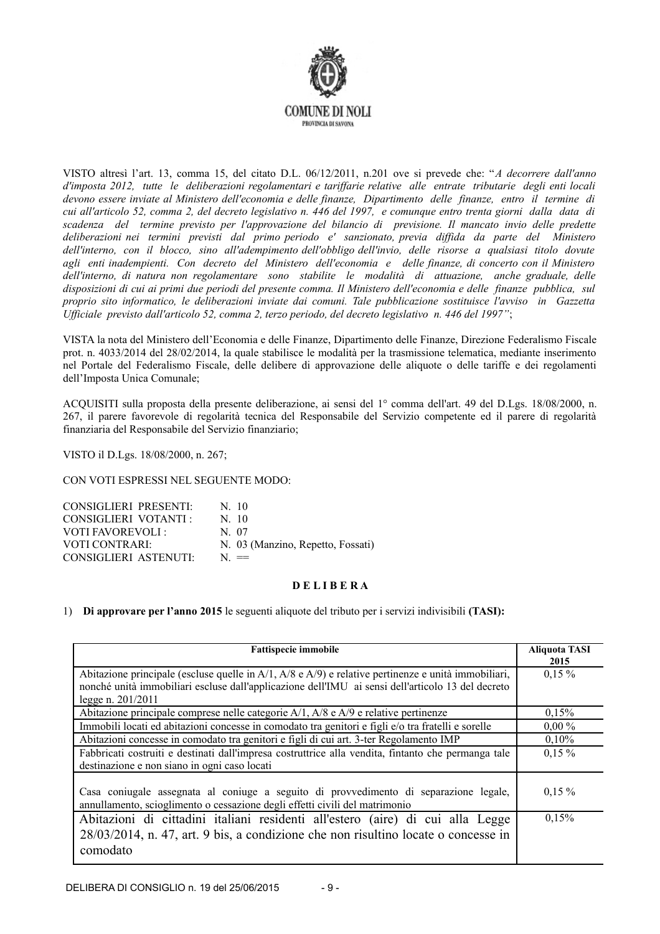

VISTO altresì l'art. 13, comma 15, del citato D.L. 06/12/2011, n.201 ove si prevede che: "A decorrere dall'anno d'imposta 2012, tutte le deliberazioni regolamentari e tariffarie relative alle entrate tributarie degli enti locali devono essere inviate al Ministero dell'economia e delle finanze, Dipartimento delle finanze, entro il termine di cui all'articolo 52, comma 2, del decreto legislativo n. 446 del 1997, e comunque entro trenta giorni dalla data di scadenza del termine previsto per l'approvazione del bilancio di previsione. Il mancato invio delle predette deliberazioni nei termini previsti dal primo periodo e' sanzionato, previa diffida da parte del Ministero dell'interno, con il blocco, sino all'adempimento dell'obbligo dell'invio, delle risorse a qualsiasi titolo dovute agli enti inadempienti. Con decreto del Ministero dell'economia e delle finanze, di concerto con il Ministero dell'interno, di natura non regolamentare sono stabilite le modalità di attuazione, anche graduale, delle disposizioni di cui ai primi due periodi del presente comma. Il Ministero dell'economia e delle finanze pubblica, sul proprio sito informatico, le deliberazioni inviate dai comuni. Tale pubblicazione sostituisce l'avviso in Gazzetta Ufficiale previsto dall'articolo 52, comma 2, terzo periodo, del decreto legislativo n. 446 del 1997";

VISTA la nota del Ministero dell'Economia e delle Finanze. Dipartimento delle Finanze, Direzione Federalismo Fiscale prot. n. 4033/2014 del 28/02/2014, la quale stabilisce le modalità per la trasmissione telematica, mediante inserimento nel Portale del Federalismo Fiscale, delle delibere di approvazione delle aliquote o delle tariffe e dei regolamenti dell'Imposta Unica Comunale;

ACQUISITI sulla proposta della presente deliberazione, ai sensi del 1º comma dell'art. 49 del D.Lgs. 18/08/2000, n. 267, il parere favorevole di regolarità tecnica del Responsabile del Servizio competente ed il parere di regolarità finanziaria del Responsabile del Servizio finanziario;

VISTO il D.Lgs. 18/08/2000, n. 267;

CON VOTI ESPRESSI NEL SEGUENTE MODO·

| <b>CONSIGLIERI PRESENTI:</b> | N <sub>10</sub>                   |
|------------------------------|-----------------------------------|
| CONSIGLIERI VOTANTI :        | $N_{\rm}$ 10                      |
| <b>VOTI FAVOREVOLI:</b>      | N 07                              |
| VOTI CONTRARI:               | N. 03 (Manzino, Repetto, Fossati) |
| CONSIGLIERI ASTENUTI:        | $N =$                             |

#### **DELIBERA**

1) Di approvare per l'anno 2015 le seguenti aliquote del tributo per i servizi indivisibili (TASI):

| <b>Fattispecie immobile</b>                                                                                                                                                         | <b>Aliquota TASI</b><br>2015 |
|-------------------------------------------------------------------------------------------------------------------------------------------------------------------------------------|------------------------------|
| Abitazione principale (escluse quelle in $A/1$ , $A/8$ e $A/9$ ) e relative pertinenze e unità immobiliari,                                                                         | $0,15\%$                     |
| nonché unità immobiliari escluse dall'applicazione dell'IMU ai sensi dell'articolo 13 del decreto<br>legge n. 201/2011                                                              |                              |
| Abitazione principale comprese nelle categorie $A/1$ , $A/8$ e $A/9$ e relative pertinenze                                                                                          | 0,15%                        |
| Immobili locati ed abitazioni concesse in comodato tra genitori e figli e/o tra fratelli e sorelle                                                                                  | $0,00\%$                     |
| Abitazioni concesse in comodato tra genitori e figli di cui art. 3-ter Regolamento IMP                                                                                              | 0,10%                        |
| Fabbricati costruiti e destinati dall'impresa costruttrice alla vendita, fintanto che permanga tale<br>destinazione e non siano in ogni caso locati                                 | $0,15\%$                     |
| Casa conjugale assegnata al conjuge a seguito di provvedimento di separazione legale,<br>annullamento, scioglimento o cessazione degli effetti civili del matrimonio                | $0,15\%$                     |
| Abitazioni di cittadini italiani residenti all'estero (aire) di cui alla Legge<br>$28/03/2014$ , n. 47, art. 9 bis, a condizione che non risultino locate o concesse in<br>comodato | 0,15%                        |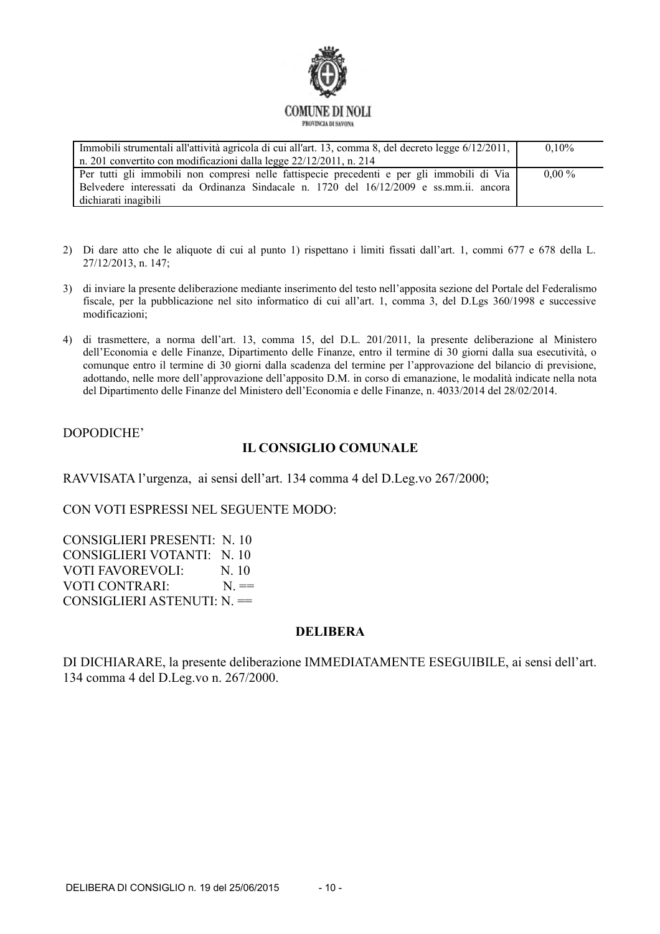

Immobili strumentali all'attività agricola di cui all'art. 13, comma 8, del decreto legge 6/12/2011,  $0,10%$ n. 201 convertito con modificazioni dalla legge 22/12/2011, n. 214 Per tutti gli immobili non compresi nelle fattispecie precedenti e per gli immobili di Via  $0.00\%$ Belvedere interessati da Ordinanza Sindacale n. 1720 del 16/12/2009 e ss.mm.ii. ancora dichiarati inagibili

- 2) Di dare atto che le aliquote di cui al punto 1) rispettano i limiti fissati dall'art. 1, commi 677 e 678 della L. 27/12/2013. n. 147:
- 3) di inviare la presente deliberazione mediante inserimento del testo nell'apposita sezione del Portale del Federalismo fiscale, per la pubblicazione nel sito informatico di cui all'art. 1, comma 3, del D.Lgs 360/1998 e successive modificazioni:
- 4) di trasmettere, a norma dell'art. 13, comma 15, del D.L. 201/2011, la presente deliberazione al Ministero dell'Economia e delle Finanze, Dipartimento delle Finanze, entro il termine di 30 giorni dalla sua esecutività, o comunque entro il termine di 30 giorni dalla scadenza del termine per l'approvazione del bilancio di previsione, adottando, nelle more dell'approvazione dell'apposito D.M. in corso di emanazione, le modalità indicate nella nota del Dipartimento delle Finanze del Ministero dell'Economia e delle Finanze, n. 4033/2014 del 28/02/2014.

#### DOPODICHE'

### **IL CONSIGLIO COMUNALE**

RAVVISATA l'urgenza, ai sensi dell'art. 134 comma 4 del D.Leg.vo 267/2000;

CON VOTI ESPRESSI NEL SEGUENTE MODO:

**CONSIGLIERI PRESENTI: N. 10** CONSIGLIERI VOTANTI: N. 10 **VOTI FAVOREVOLI·**  $N<sub>10</sub>$ VOTI CONTRARI:  $N =$ CONSIGLIERI ASTENUTI:  $N =$ 

#### **DELIBERA**

DI DICHIARARE, la presente deliberazione IMMEDIATAMENTE ESEGUIBILE, ai sensi dell'art. 134 comma 4 del D.Leg.vo n. 267/2000.